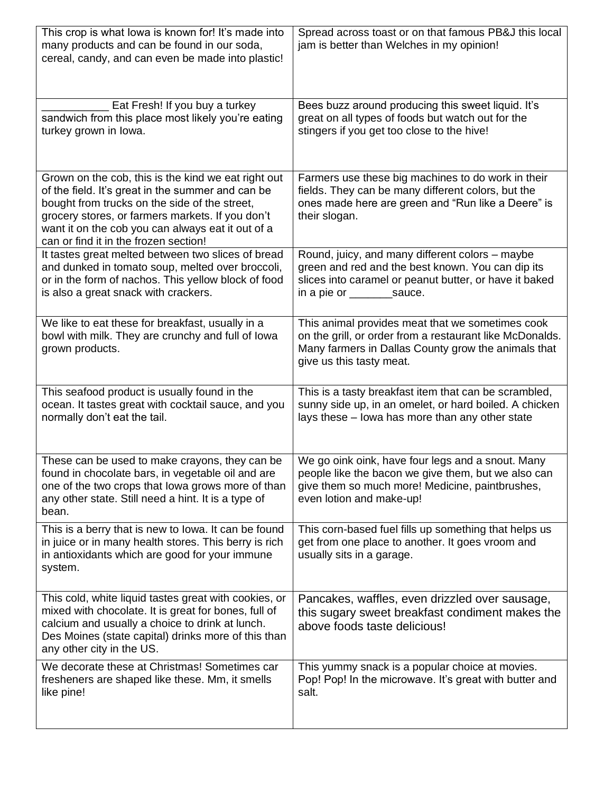| This crop is what lowa is known for! It's made into<br>many products and can be found in our soda,<br>cereal, candy, and can even be made into plastic!                                                                                                                                                     | Spread across toast or on that famous PB&J this local<br>jam is better than Welches in my opinion!                                                                                              |
|-------------------------------------------------------------------------------------------------------------------------------------------------------------------------------------------------------------------------------------------------------------------------------------------------------------|-------------------------------------------------------------------------------------------------------------------------------------------------------------------------------------------------|
| Eat Fresh! If you buy a turkey<br>sandwich from this place most likely you're eating<br>turkey grown in Iowa.                                                                                                                                                                                               | Bees buzz around producing this sweet liquid. It's<br>great on all types of foods but watch out for the<br>stingers if you get too close to the hive!                                           |
| Grown on the cob, this is the kind we eat right out<br>of the field. It's great in the summer and can be<br>bought from trucks on the side of the street,<br>grocery stores, or farmers markets. If you don't<br>want it on the cob you can always eat it out of a<br>can or find it in the frozen section! | Farmers use these big machines to do work in their<br>fields. They can be many different colors, but the<br>ones made here are green and "Run like a Deere" is<br>their slogan.                 |
| It tastes great melted between two slices of bread<br>and dunked in tomato soup, melted over broccoli,<br>or in the form of nachos. This yellow block of food<br>is also a great snack with crackers.                                                                                                       | Round, juicy, and many different colors - maybe<br>green and red and the best known. You can dip its<br>slices into caramel or peanut butter, or have it baked<br>in a pie or __________sauce.  |
| We like to eat these for breakfast, usually in a<br>bowl with milk. They are crunchy and full of lowa<br>grown products.                                                                                                                                                                                    | This animal provides meat that we sometimes cook<br>on the grill, or order from a restaurant like McDonalds.<br>Many farmers in Dallas County grow the animals that<br>give us this tasty meat. |
| This seafood product is usually found in the<br>ocean. It tastes great with cocktail sauce, and you<br>normally don't eat the tail.                                                                                                                                                                         | This is a tasty breakfast item that can be scrambled,<br>sunny side up, in an omelet, or hard boiled. A chicken<br>lays these - lowa has more than any other state                              |
| These can be used to make crayons, they can be<br>found in chocolate bars, in vegetable oil and are<br>one of the two crops that lowa grows more of than<br>any other state. Still need a hint. It is a type of<br>bean.                                                                                    | We go oink oink, have four legs and a snout. Many<br>people like the bacon we give them, but we also can<br>give them so much more! Medicine, paintbrushes,<br>even lotion and make-up!         |
| This is a berry that is new to lowa. It can be found<br>in juice or in many health stores. This berry is rich<br>in antioxidants which are good for your immune<br>system.                                                                                                                                  | This corn-based fuel fills up something that helps us<br>get from one place to another. It goes vroom and<br>usually sits in a garage.                                                          |
| This cold, white liquid tastes great with cookies, or<br>mixed with chocolate. It is great for bones, full of<br>calcium and usually a choice to drink at lunch.<br>Des Moines (state capital) drinks more of this than<br>any other city in the US.                                                        | Pancakes, waffles, even drizzled over sausage,<br>this sugary sweet breakfast condiment makes the<br>above foods taste delicious!                                                               |
| We decorate these at Christmas! Sometimes car<br>fresheners are shaped like these. Mm, it smells<br>like pine!                                                                                                                                                                                              | This yummy snack is a popular choice at movies.<br>Pop! Pop! In the microwave. It's great with butter and<br>salt.                                                                              |